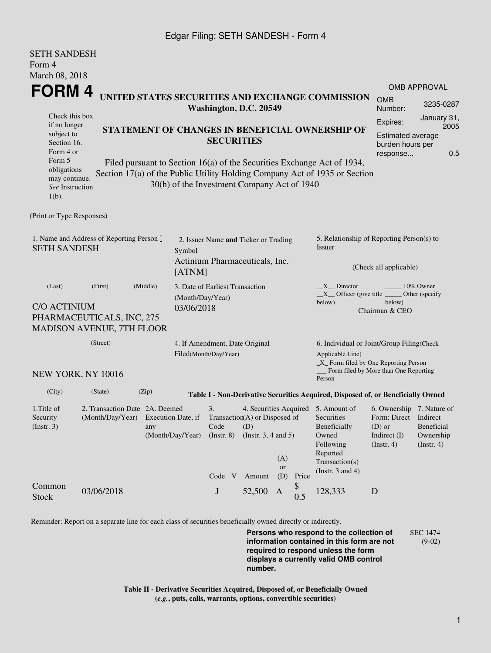### Edgar Filing: SETH SANDESH - Form 4

SETH SANDESH

| ОЕТИ ЭЯЛЛЕЭН<br>Form 4                                                                                                                                                                                                                                                        |                                                                       |                                                         |                                                                                                                                          |                                      |        |                                                                                                                                                  |                                                  |                                                                                                    |                                             |                                                                            |  |
|-------------------------------------------------------------------------------------------------------------------------------------------------------------------------------------------------------------------------------------------------------------------------------|-----------------------------------------------------------------------|---------------------------------------------------------|------------------------------------------------------------------------------------------------------------------------------------------|--------------------------------------|--------|--------------------------------------------------------------------------------------------------------------------------------------------------|--------------------------------------------------|----------------------------------------------------------------------------------------------------|---------------------------------------------|----------------------------------------------------------------------------|--|
| March 08, 2018                                                                                                                                                                                                                                                                | <b>OMB APPROVAL</b>                                                   |                                                         |                                                                                                                                          |                                      |        |                                                                                                                                                  |                                                  |                                                                                                    |                                             |                                                                            |  |
| FORM 4<br>UNITED STATES SECURITIES AND EXCHANGE COMMISSION<br>Washington, D.C. 20549                                                                                                                                                                                          |                                                                       |                                                         |                                                                                                                                          |                                      |        |                                                                                                                                                  |                                                  |                                                                                                    | <b>OMB</b><br>Number:                       | 3235-0287                                                                  |  |
| Check this box<br>if no longer<br>subject to<br>Section 16.<br>Form 4 or                                                                                                                                                                                                      |                                                                       |                                                         |                                                                                                                                          | <b>SECURITIES</b>                    |        |                                                                                                                                                  |                                                  | Expires:<br>STATEMENT OF CHANGES IN BENEFICIAL OWNERSHIP OF<br>response                            |                                             | January 31,<br>2005<br><b>Estimated average</b><br>burden hours per<br>0.5 |  |
| Form 5<br>Filed pursuant to Section 16(a) of the Securities Exchange Act of 1934,<br>obligations<br>Section 17(a) of the Public Utility Holding Company Act of 1935 or Section<br>may continue.<br>30(h) of the Investment Company Act of 1940<br>See Instruction<br>$1(b)$ . |                                                                       |                                                         |                                                                                                                                          |                                      |        |                                                                                                                                                  |                                                  |                                                                                                    |                                             |                                                                            |  |
| (Print or Type Responses)                                                                                                                                                                                                                                                     |                                                                       |                                                         |                                                                                                                                          |                                      |        |                                                                                                                                                  |                                                  |                                                                                                    |                                             |                                                                            |  |
| 1. Name and Address of Reporting Person *<br><b>SETH SANDESH</b>                                                                                                                                                                                                              |                                                                       |                                                         | Symbol                                                                                                                                   | 2. Issuer Name and Ticker or Trading |        |                                                                                                                                                  |                                                  | 5. Relationship of Reporting Person(s) to<br>Issuer                                                |                                             |                                                                            |  |
|                                                                                                                                                                                                                                                                               | [ATNM]                                                                | Actinium Pharmaceuticals, Inc.                          |                                                                                                                                          |                                      |        | (Check all applicable)                                                                                                                           |                                                  |                                                                                                    |                                             |                                                                            |  |
| (Last)<br><b>C/O ACTINIUM</b><br>PHARMACEUTICALS, INC, 275                                                                                                                                                                                                                    | (Month/Day/Year)<br>03/06/2018                                        | 3. Date of Earliest Transaction                         |                                                                                                                                          |                                      |        | X Director<br>10% Owner<br>$X$ Officer (give title<br>Other (specify)<br>below)<br>below)<br>Chairman & CEO                                      |                                                  |                                                                                                    |                                             |                                                                            |  |
| <b>MADISON AVENUE, 7TH FLOOR</b>                                                                                                                                                                                                                                              | (Street)                                                              |                                                         |                                                                                                                                          |                                      |        |                                                                                                                                                  |                                                  |                                                                                                    |                                             |                                                                            |  |
|                                                                                                                                                                                                                                                                               |                                                                       | 4. If Amendment, Date Original<br>Filed(Month/Day/Year) |                                                                                                                                          |                                      |        | 6. Individual or Joint/Group Filing(Check<br>Applicable Line)<br>_X_ Form filed by One Reporting Person<br>Form filed by More than One Reporting |                                                  |                                                                                                    |                                             |                                                                            |  |
| NEW YORK, NY 10016                                                                                                                                                                                                                                                            |                                                                       |                                                         |                                                                                                                                          |                                      |        |                                                                                                                                                  |                                                  | Person                                                                                             |                                             |                                                                            |  |
| (City)                                                                                                                                                                                                                                                                        | (State)                                                               | (Zip)                                                   |                                                                                                                                          |                                      |        |                                                                                                                                                  |                                                  | Table I - Non-Derivative Securities Acquired, Disposed of, or Beneficially Owned                   |                                             |                                                                            |  |
| 1. Title of<br>Security<br>$($ Instr. 3 $)$                                                                                                                                                                                                                                   | 2. Transaction Date 2A. Deemed<br>(Month/Day/Year) Execution Date, if | (Month/Day/Year)                                        | 4. Securities Acquired 5. Amount of<br>3.<br>Transaction(A) or Disposed of<br>Code<br>(D)<br>$($ Instr. $8)$<br>(Instr. $3, 4$ and $5$ ) |                                      |        |                                                                                                                                                  | Securities<br>Beneficially<br>Owned<br>Following | 6. Ownership 7. Nature of<br>Form: Direct Indirect<br>$(D)$ or<br>Indirect (I)<br>$($ Instr. 4 $)$ | Beneficial<br>Ownership<br>$($ Instr. 4 $)$ |                                                                            |  |
|                                                                                                                                                                                                                                                                               |                                                                       |                                                         |                                                                                                                                          | Code V                               | Amount | (A)<br>or<br>(D)                                                                                                                                 | Price                                            | Reported<br>Transaction(s)<br>(Instr. $3$ and $4$ )                                                |                                             |                                                                            |  |
| Common<br><b>Stock</b>                                                                                                                                                                                                                                                        | 03/06/2018                                                            |                                                         |                                                                                                                                          | $\bf J$                              | 52,500 | A                                                                                                                                                | $\begin{array}{c} \text{\$} \\ 0.5 \end{array}$  | 128,333                                                                                            | D                                           |                                                                            |  |

Reminder: Report on a separate line for each class of securities beneficially owned directly or indirectly.

**Persons who respond to the collection of information contained in this form are not required to respond unless the form displays a currently valid OMB control number.** SEC 1474 (9-02)

**Table II - Derivative Securities Acquired, Disposed of, or Beneficially Owned (***e.g.***, puts, calls, warrants, options, convertible securities)**